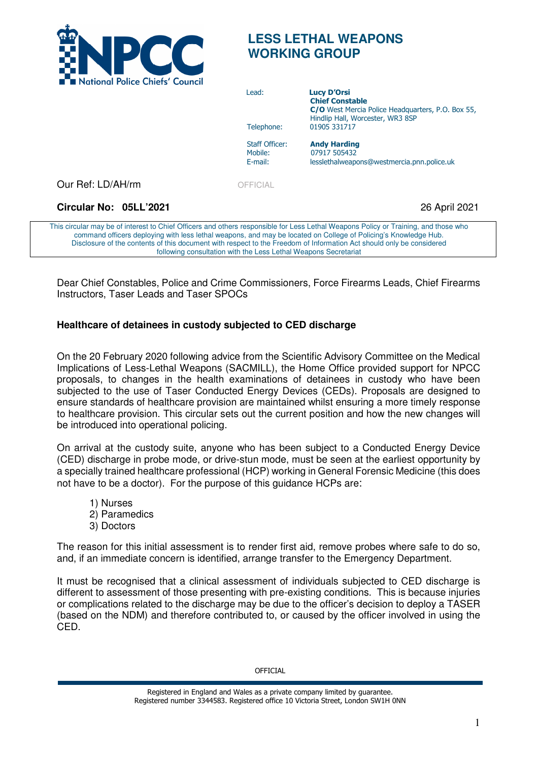

# **LESS LETHAL WEAPONS WORKING GROUP**

| <b>E NOUGHAI FOILE CHIEFS COUNCIL</b> | Lead:<br>Telephone:<br><b>Staff Officer:</b><br>Mobile:<br>E-mail: | <b>Lucy D'Orsi</b><br><b>Chief Constable</b><br>C/O West Mercia Police Headquarters, P.O. Box 55,<br>Hindlip Hall, Worcester, WR3 8SP<br>01905 331717<br><b>Andy Harding</b><br>07917 505432<br>lesslethalweapons@westmercia.pnn.police.uk |
|---------------------------------------|--------------------------------------------------------------------|--------------------------------------------------------------------------------------------------------------------------------------------------------------------------------------------------------------------------------------------|
| Our Ref: LD/AH/rm                     | OFFICIAL                                                           |                                                                                                                                                                                                                                            |
| Circular No: 05LL'2021                |                                                                    | 26 April 2021                                                                                                                                                                                                                              |
|                                       |                                                                    | This circular may be of interest to Chief Officers and others responsible for Less Lethal Weapons Policy or Training, and those who                                                                                                        |

This circular may be of interest to Ch command officers deploying with less lethal weapons, and may be located on College of Policing's Knowledge Hub. Disclosure of the contents of this document with respect to the Freedom of Information Act should only be considered following consultation with the Less Lethal Weapons Secretariat

Dear Chief Constables, Police and Crime Commissioners, Force Firearms Leads, Chief Firearms Instructors, Taser Leads and Taser SPOCs

## **Healthcare of detainees in custody subjected to CED discharge**

On the 20 February 2020 following advice from the Scientific Advisory Committee on the Medical Implications of Less-Lethal Weapons (SACMILL), the Home Office provided support for NPCC proposals, to changes in the health examinations of detainees in custody who have been subjected to the use of Taser Conducted Energy Devices (CEDs). Proposals are designed to ensure standards of healthcare provision are maintained whilst ensuring a more timely response to healthcare provision. This circular sets out the current position and how the new changes will be introduced into operational policing.

On arrival at the custody suite, anyone who has been subject to a Conducted Energy Device (CED) discharge in probe mode, or drive-stun mode, must be seen at the earliest opportunity by a specially trained healthcare professional (HCP) working in General Forensic Medicine (this does not have to be a doctor). For the purpose of this guidance HCPs are:

- 1) Nurses 2) Paramedics
- 3) Doctors

The reason for this initial assessment is to render first aid, remove probes where safe to do so, and, if an immediate concern is identified, arrange transfer to the Emergency Department.

It must be recognised that a clinical assessment of individuals subjected to CED discharge is different to assessment of those presenting with pre-existing conditions. This is because injuries or complications related to the discharge may be due to the officer's decision to deploy a TASER (based on the NDM) and therefore contributed to, or caused by the officer involved in using the CED.

**OFFICIAL** 

Registered in England and Wales as a private company limited by guarantee. Registered number 3344583. Registered office 10 Victoria Street, London SW1H 0NN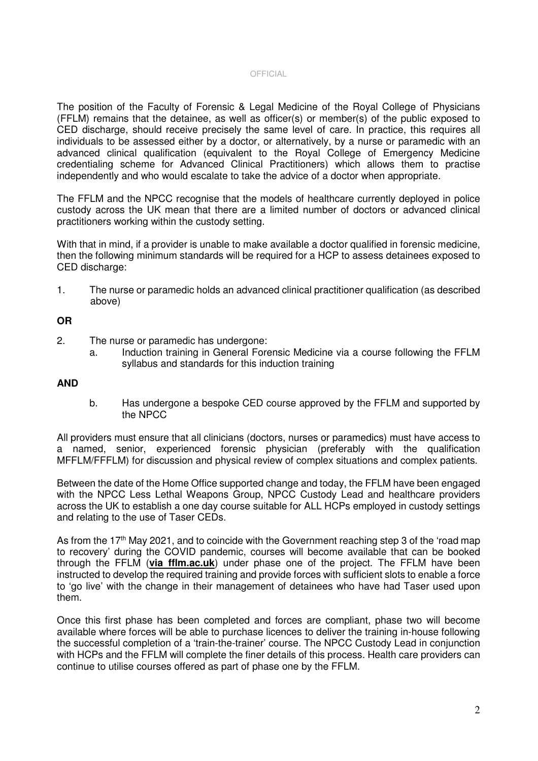#### OFFICIAL

The position of the Faculty of Forensic & Legal Medicine of the Royal College of Physicians (FFLM) remains that the detainee, as well as officer(s) or member(s) of the public exposed to CED discharge, should receive precisely the same level of care. In practice, this requires all individuals to be assessed either by a doctor, or alternatively, by a nurse or paramedic with an advanced clinical qualification (equivalent to the Royal College of Emergency Medicine credentialing scheme for Advanced Clinical Practitioners) which allows them to practise independently and who would escalate to take the advice of a doctor when appropriate.

The FFLM and the NPCC recognise that the models of healthcare currently deployed in police custody across the UK mean that there are a limited number of doctors or advanced clinical practitioners working within the custody setting.

With that in mind, if a provider is unable to make available a doctor qualified in forensic medicine, then the following minimum standards will be required for a HCP to assess detainees exposed to CED discharge:

1. The nurse or paramedic holds an advanced clinical practitioner qualification (as described above)

### **OR**

- 2. The nurse or paramedic has undergone:
	- a. Induction training in General Forensic Medicine via a course following the FFLM syllabus and standards for this induction training

### **AND**

b. Has undergone a bespoke CED course approved by the FFLM and supported by the NPCC

All providers must ensure that all clinicians (doctors, nurses or paramedics) must have access to a named, senior, experienced forensic physician (preferably with the qualification MFFLM/FFFLM) for discussion and physical review of complex situations and complex patients.

Between the date of the Home Office supported change and today, the FFLM have been engaged with the NPCC Less Lethal Weapons Group, NPCC Custody Lead and healthcare providers across the UK to establish a one day course suitable for ALL HCPs employed in custody settings and relating to the use of Taser CEDs.

As from the 17<sup>th</sup> May 2021, and to coincide with the Government reaching step 3 of the 'road map to recovery' during the COVID pandemic, courses will become available that can be booked through the FFLM (**via fflm.ac.uk**) under phase one of the project. The FFLM have been instructed to develop the required training and provide forces with sufficient slots to enable a force to 'go live' with the change in their management of detainees who have had Taser used upon them.

Once this first phase has been completed and forces are compliant, phase two will become available where forces will be able to purchase licences to deliver the training in-house following the successful completion of a 'train-the-trainer' course. The NPCC Custody Lead in conjunction with HCPs and the FFLM will complete the finer details of this process. Health care providers can continue to utilise courses offered as part of phase one by the FFLM.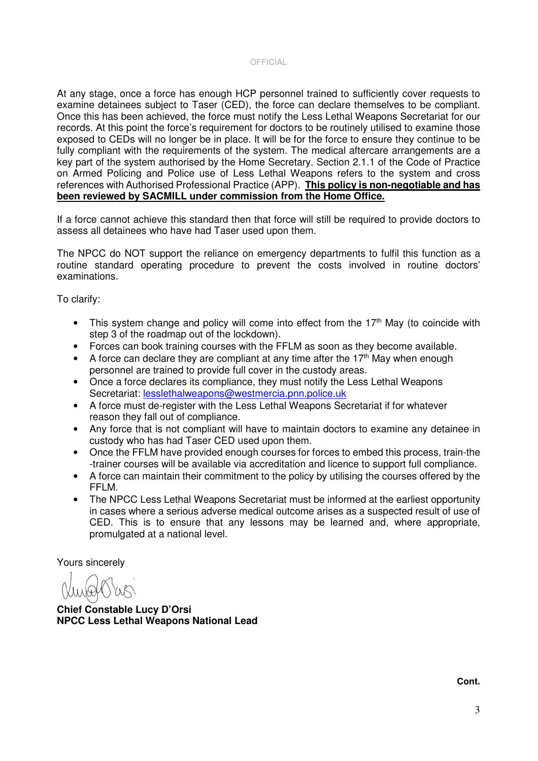#### OFFICIAL

At any stage, once a force has enough HCP personnel trained to sufficiently cover requests to examine detainees subject to Taser (CED), the force can declare themselves to be compliant. Once this has been achieved, the force must notify the Less Lethal Weapons Secretariat for our records. At this point the force's requirement for doctors to be routinely utilised to examine those exposed to CEDs will no longer be in place. It will be for the force to ensure they continue to be fully compliant with the requirements of the system. The medical aftercare arrangements are a key part of the system authorised by the Home Secretary. Section 2.1.1 of the Code of Practice on Armed Policing and Police use of Less Lethal Weapons refers to the system and cross references with Authorised Professional Practice (APP). **This policy is non-negotiable and has been reviewed by SACMILL under commission from the Home Office.**

If a force cannot achieve this standard then that force will still be required to provide doctors to assess all detainees who have had Taser used upon them.

The NPCC do NOT support the reliance on emergency departments to fulfil this function as a routine standard operating procedure to prevent the costs involved in routine doctors' examinations.

To clarify:

- This system change and policy will come into effect from the 17<sup>th</sup> May (to coincide with step 3 of the roadmap out of the lockdown).
- Forces can book training courses with the FFLM as soon as they become available.
- A force can declare they are compliant at any time after the 17<sup>th</sup> May when enough personnel are trained to provide full cover in the custody areas.
- Once a force declares its compliance, they must notify the Less Lethal Weapons Secretariat: lesslethalweapons@westmercia.pnn.police.uk
- A force must de-register with the Less Lethal Weapons Secretariat if for whatever reason they fall out of compliance.
- Any force that is not compliant will have to maintain doctors to examine any detainee in custody who has had Taser CED used upon them.
- Once the FFLM have provided enough courses for forces to embed this process, train-the -trainer courses will be available via accreditation and licence to support full compliance.
- A force can maintain their commitment to the policy by utilising the courses offered by the FFLM.
- The NPCC Less Lethal Weapons Secretariat must be informed at the earliest opportunity in cases where a serious adverse medical outcome arises as a suspected result of use of CED. This is to ensure that any lessons may be learned and, where appropriate, promulgated at a national level.

Yours sincerely

**Chief Constable Lucy D'Orsi NPCC Less Lethal Weapons National Lead** 

**Cont.**